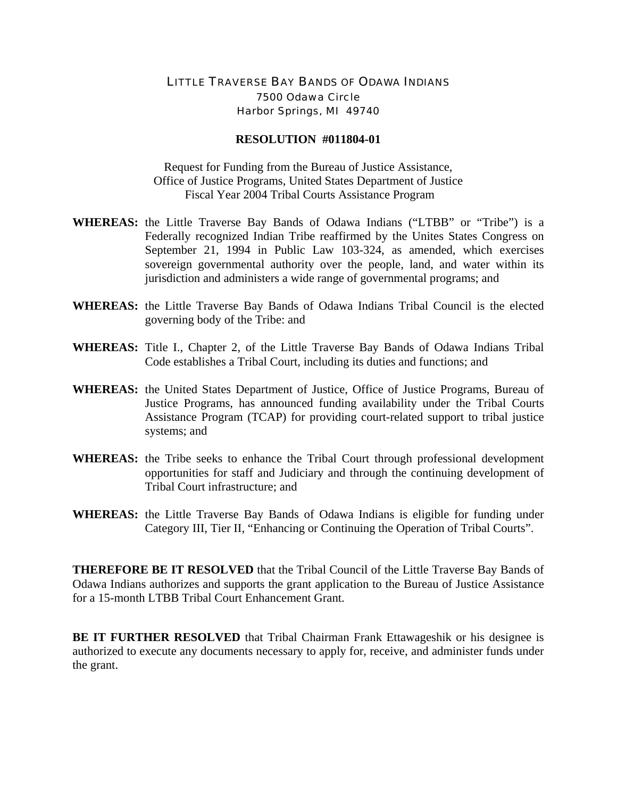## LITTLE TRAVERSE BAY BANDS OF ODAWA INDIANS 7500 Odawa Circle Harbor Springs, MI 49740

## **RESOLUTION #011804-01**

Request for Funding from the Bureau of Justice Assistance, Office of Justice Programs, United States Department of Justice Fiscal Year 2004 Tribal Courts Assistance Program

- **WHEREAS:** the Little Traverse Bay Bands of Odawa Indians ("LTBB" or "Tribe") is a Federally recognized Indian Tribe reaffirmed by the Unites States Congress on September 21, 1994 in Public Law 103-324, as amended, which exercises sovereign governmental authority over the people, land, and water within its jurisdiction and administers a wide range of governmental programs; and
- **WHEREAS:** the Little Traverse Bay Bands of Odawa Indians Tribal Council is the elected governing body of the Tribe: and
- **WHEREAS:** Title I., Chapter 2, of the Little Traverse Bay Bands of Odawa Indians Tribal Code establishes a Tribal Court, including its duties and functions; and
- **WHEREAS:** the United States Department of Justice, Office of Justice Programs, Bureau of Justice Programs, has announced funding availability under the Tribal Courts Assistance Program (TCAP) for providing court-related support to tribal justice systems; and
- **WHEREAS:** the Tribe seeks to enhance the Tribal Court through professional development opportunities for staff and Judiciary and through the continuing development of Tribal Court infrastructure; and
- **WHEREAS:** the Little Traverse Bay Bands of Odawa Indians is eligible for funding under Category III, Tier II, "Enhancing or Continuing the Operation of Tribal Courts".

**THEREFORE BE IT RESOLVED** that the Tribal Council of the Little Traverse Bay Bands of Odawa Indians authorizes and supports the grant application to the Bureau of Justice Assistance for a 15-month LTBB Tribal Court Enhancement Grant.

**BE IT FURTHER RESOLVED** that Tribal Chairman Frank Ettawageshik or his designee is authorized to execute any documents necessary to apply for, receive, and administer funds under the grant.